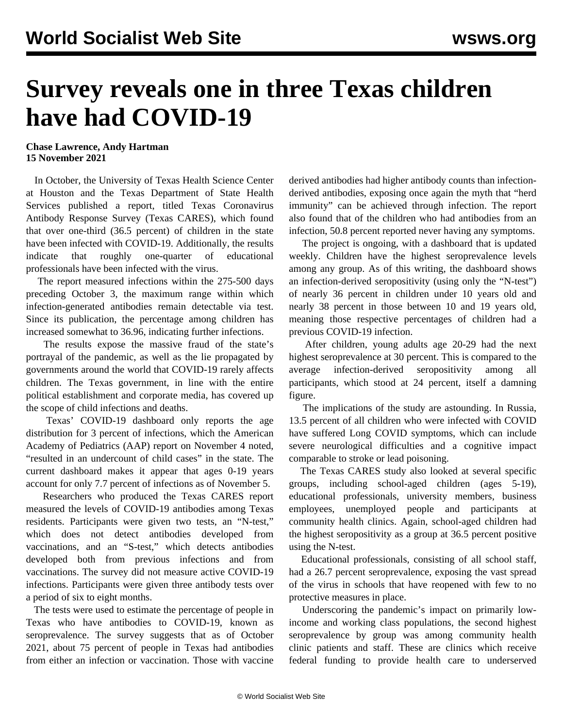## **Survey reveals one in three Texas children have had COVID-19**

## **Chase Lawrence, Andy Hartman 15 November 2021**

 In October, the University of Texas Health Science Center at Houston and the Texas Department of State Health Services published a report, titled Texas Coronavirus Antibody Response Survey (Texas CARES), which found that over one-third (36.5 percent) of children in the state have been infected with COVID-19. Additionally, the results indicate that roughly one-quarter of educational professionals have been infected with the virus.

 The report measured infections within the 275-500 days preceding October 3, the maximum range within which infection-generated antibodies remain detectable via test. Since its publication, the percentage among children has increased somewhat to 36.96, indicating further infections.

 The results expose the massive fraud of the state's portrayal of the pandemic, as well as the lie propagated by governments around the world that COVID-19 rarely affects children. The Texas government, in line with the entire political establishment and corporate media, has covered up the scope of child infections and deaths.

 Texas' COVID-19 dashboard only reports the age distribution for 3 percent of infections, which the American Academy of Pediatrics (AAP) report on November 4 noted, "resulted in an undercount of child cases" in the state. The current dashboard makes it appear that ages 0-19 years account for only 7.7 percent of infections as of November 5.

 Researchers who produced the Texas CARES report measured the levels of COVID-19 antibodies among Texas residents. Participants were given two tests, an "N-test," which does not detect antibodies developed from vaccinations, and an "S-test," which detects antibodies developed both from previous infections and from vaccinations. The survey did not measure active COVID-19 infections. Participants were given three antibody tests over a period of six to eight months.

 The tests were used to estimate the percentage of people in Texas who have antibodies to COVID-19, known as seroprevalence. The survey suggests that as of October 2021, about 75 percent of people in Texas had antibodies from either an infection or vaccination. Those with vaccine

derived antibodies had higher antibody counts than infectionderived antibodies, exposing once again the myth that "herd immunity" can be achieved through infection. The report also found that of the children who had antibodies from an infection, 50.8 percent reported never having any symptoms.

 The project is ongoing, with a [dashboard](https://sph.uth.edu/projects/texascares/dashboard) that is updated weekly. Children have the highest seroprevalence levels among any group. As of this writing, the dashboard shows an infection-derived seropositivity (using only the "N-test") of nearly 36 percent in children under 10 years old and nearly 38 percent in those between 10 and 19 years old, meaning those respective percentages of children had a previous COVID-19 infection.

 After children, young adults age 20-29 had the next highest seroprevalence at 30 percent. This is compared to the average infection-derived seropositivity among all participants, which stood at 24 percent, itself a damning figure.

 The implications of the study are astounding. In Russia, [13.5 percent](/en/articles/2021/11/12/ruco-n12.html) of all children who were infected with COVID have suffered Long COVID symptoms, which can include severe neurological difficulties and a cognitive impact [comparable to stroke or lead poisoning.](/en/articles/2021/08/06/coiq-a06.html)

 The Texas CARES study also looked at several specific groups, including school-aged children (ages 5-19), educational professionals, university members, business employees, unemployed people and participants at community health clinics. Again, school-aged children had the highest seropositivity as a group at 36.5 percent positive using the N-test.

 Educational professionals, consisting of all school staff, had a 26.7 percent seroprevalence, exposing the vast spread of the virus in schools that have reopened with few to no protective measures in place.

 Underscoring the pandemic's impact on primarily lowincome and working class populations, the second highest seroprevalence by group was among community health clinic patients and staff. These are clinics which receive federal funding to provide health care to underserved